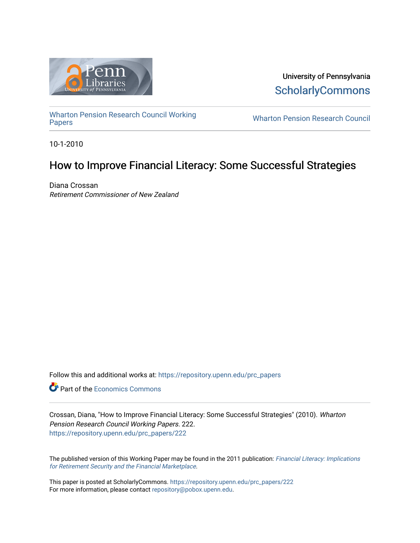

University of Pennsylvania **ScholarlyCommons** 

[Wharton Pension Research Council Working](https://repository.upenn.edu/prc_papers)

**Wharton Pension Research Council** 

10-1-2010

# How to Improve Financial Literacy: Some Successful Strategies

Diana Crossan Retirement Commissioner of New Zealand

Follow this and additional works at: [https://repository.upenn.edu/prc\\_papers](https://repository.upenn.edu/prc_papers?utm_source=repository.upenn.edu%2Fprc_papers%2F222&utm_medium=PDF&utm_campaign=PDFCoverPages) 

**C** Part of the [Economics Commons](http://network.bepress.com/hgg/discipline/340?utm_source=repository.upenn.edu%2Fprc_papers%2F222&utm_medium=PDF&utm_campaign=PDFCoverPages)

Crossan, Diana, "How to Improve Financial Literacy: Some Successful Strategies" (2010). Wharton Pension Research Council Working Papers. 222. [https://repository.upenn.edu/prc\\_papers/222](https://repository.upenn.edu/prc_papers/222?utm_source=repository.upenn.edu%2Fprc_papers%2F222&utm_medium=PDF&utm_campaign=PDFCoverPages) 

The published version of this Working Paper may be found in the 2011 publication: [Financial Literacy: Implications](http://pensionresearchcouncil.wharton.upenn.edu/publications/books/financial-literacy-implications-for-retirement-security-and-the-financial-marketplace/) [for Retirement Security and the Financial Marketplace](http://pensionresearchcouncil.wharton.upenn.edu/publications/books/financial-literacy-implications-for-retirement-security-and-the-financial-marketplace/).

This paper is posted at ScholarlyCommons. [https://repository.upenn.edu/prc\\_papers/222](https://repository.upenn.edu/prc_papers/222)  For more information, please contact [repository@pobox.upenn.edu.](mailto:repository@pobox.upenn.edu)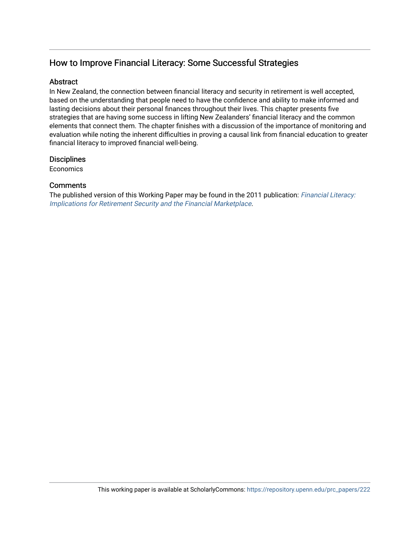# **Abstract**

In New Zealand, the connection between financial literacy and security in retirement is well accepted, based on the understanding that people need to have the confidence and ability to make informed and lasting decisions about their personal finances throughout their lives. This chapter presents five strategies that are having some success in lifting New Zealanders' financial literacy and the common elements that connect them. The chapter finishes with a discussion of the importance of monitoring and evaluation while noting the inherent difficulties in proving a causal link from financial education to greater financial literacy to improved financial well-being.

# **Disciplines**

Economics

# **Comments**

The published version of this Working Paper may be found in the 2011 publication: [Financial Literacy:](http://pensionresearchcouncil.wharton.upenn.edu/publications/books/financial-literacy-implications-for-retirement-security-and-the-financial-marketplace/) [Implications for Retirement Security and the Financial Marketplace](http://pensionresearchcouncil.wharton.upenn.edu/publications/books/financial-literacy-implications-for-retirement-security-and-the-financial-marketplace/).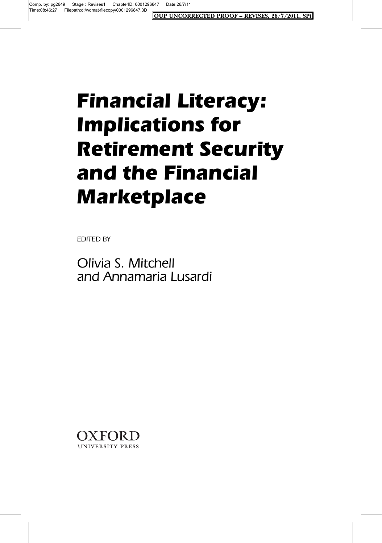# Financial Literacy: Implications for Retirement Security and the Financial Marketplace

EDITED BY

Olivia S. Mitchell and Annamaria Lusardi

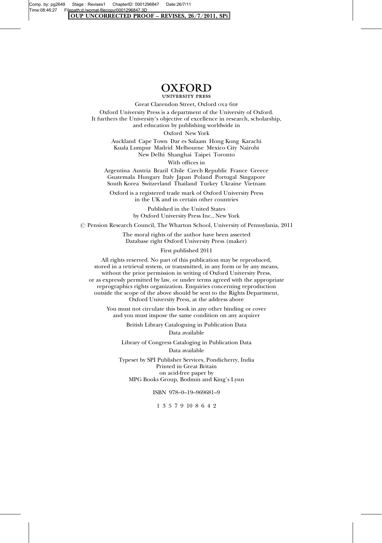# **)XFORD**

Great Clarendon Street, Oxford OX2 6DP Oxford University Press is a department of the University of Oxford. It furthers the University's objective of excellence in research, scholarship, and education by publishing worldwide in

Oxford New York

Auckland Cape Town Dar es Salaam Hong Kong Karachi Kuala Lumpur Madrid Melbourne Mexico City Nairobi New Delhi Shanghai Taipei Toronto With offices in

Argentina Austria Brazil Chile Czech Republic France Greece Guatemala Hungary Italy Japan Poland Portugal Singapore South Korea Switzerland Thailand Turkey Ukraine Vietnam

Oxford is a registered trade mark of Oxford University Press in the UK and in certain other countries

> Published in the United States by Oxford University Press Inc., New York

 $\oslash$  Pension Research Council, The Wharton School, University of Pennsylania, 2011

The moral rights of the author have been asserted Database right Oxford University Press (maker)

First published 2011

All rights reserved. No part of this publication may be reproduced, stored in a retrieval system, or transmitted, in any form or by any means, without the prior permission in writing of Oxford University Press, or as expressly permitted by law, or under terms agreed with the appropriate reprographics rights organization. Enquiries concerning reproduction outside the scope of the above should be sent to the Rights Department, Oxford University Press, at the address above

You must not circulate this book in any other binding or cover and you must impose the same condition on any acquirer

British Library Cataloguing in Publication Data

Data available

Library of Congress Cataloging in Publication Data Data available

Typeset by SPI Publisher Services, Pondicherry, India Printed in Great Britain on acid-free paper by MPG Books Group, Bodmin and King's Lynn

ISBN 978–0–19–969681–9

1 3 5 7 9 10 8 6 4 2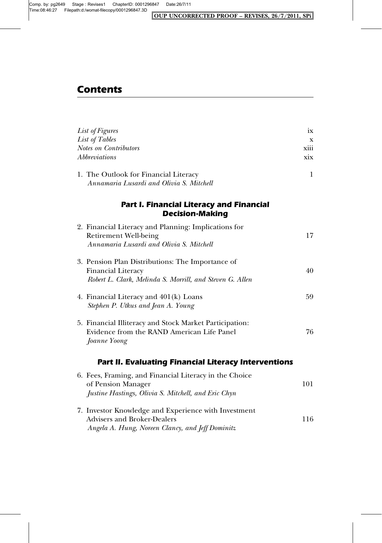OUP UNCORRECTED PROOF – REVISES, 26/7/2011, SPi

# Contents

| List of Figures<br>List of Tables<br><b>Notes on Contributors</b><br>Abbreviations |                                                                                                                                                | ix<br>X<br>xiii<br>xix |
|------------------------------------------------------------------------------------|------------------------------------------------------------------------------------------------------------------------------------------------|------------------------|
|                                                                                    | 1. The Outlook for Financial Literacy<br>Annamaria Lusardi and Olivia S. Mitchell                                                              | 1                      |
|                                                                                    | <b>Part I. Financial Literacy and Financial</b><br><b>Decision-Making</b>                                                                      |                        |
|                                                                                    | 2. Financial Literacy and Planning: Implications for<br><b>Retirement Well-being</b><br>Annamaria Lusardi and Olivia S. Mitchell               | 17                     |
|                                                                                    | 3. Pension Plan Distributions: The Importance of<br><b>Financial Literacy</b><br>Robert L. Clark, Melinda S. Morrill, and Steven G. Allen      | 40                     |
|                                                                                    | 4. Financial Literacy and 401(k) Loans<br>Stephen P. Utkus and Jean A. Young                                                                   | 59                     |
|                                                                                    | 5. Financial Illiteracy and Stock Market Participation:<br>Evidence from the RAND American Life Panel<br>Joanne Yoong                          | 76                     |
|                                                                                    | <b>Part II. Evaluating Financial Literacy Interventions</b>                                                                                    |                        |
|                                                                                    | 6. Fees, Framing, and Financial Literacy in the Choice<br>of Pension Manager<br>Justine Hastings, Olivia S. Mitchell, and Eric Chyn            | 101                    |
|                                                                                    | 7. Investor Knowledge and Experience with Investment<br><b>Advisers and Broker-Dealers</b><br>Angela A. Hung, Noreen Clancy, and Jeff Dominitz | 116                    |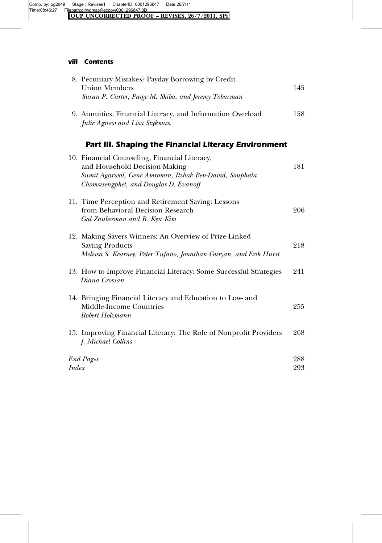#### viii Contents

|              | 8. Pecuniary Mistakes? Payday Borrowing by Credit<br><b>Union Members</b><br>Susan P. Carter, Paige M. Skiba, and Jeremy Tobacman                                                   | 145        |
|--------------|-------------------------------------------------------------------------------------------------------------------------------------------------------------------------------------|------------|
|              | 9. Annuities, Financial Literacy, and Information Overload<br>Julie Agnew and Lisa Szykman                                                                                          | 158        |
|              | <b>Part III. Shaping the Financial Literacy Environment</b>                                                                                                                         |            |
|              | 10. Financial Counseling, Financial Literacy,<br>and Household Decision-Making<br>Sumit Agarwal, Gene Amromin, Itzhak Ben-David, Souphala<br>Chomsisengphet, and Douglas D. Evanoff | 181        |
|              | 11. Time Perception and Retirement Saving: Lessons<br>from Behavioral Decision Research<br>Gal Zauberman and B. Kyu Kim                                                             | 206        |
|              | 12. Making Savers Winners: An Overview of Prize-Linked<br><b>Saving Products</b><br>Melissa S. Kearney, Peter Tufano, Jonathan Guryan, and Erik Hurst                               | 218        |
|              | 13. How to Improve Financial Literacy: Some Successful Strategies<br>Diana Crossan                                                                                                  | 241        |
|              | 14. Bringing Financial Literacy and Education to Low- and<br>Middle-Income Countries<br>Robert Holzmann                                                                             | 255        |
|              | 15. Improving Financial Literacy: The Role of Nonprofit Providers<br>J. Michael Collins                                                                                             | 268        |
| <i>Index</i> | End Pages                                                                                                                                                                           | 288<br>293 |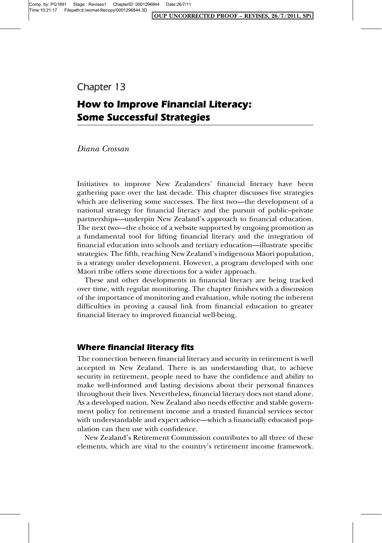# Chapter 13

# How to Improve Financial Literacy: Some Successful Strategies

Diana Crossan

Initiatives to improve New Zealanders' financial literacy have been gathering pace over the last decade. This chapter discusses five strategies which are delivering some successes. The first two—the development of a national strategy for financial literacy and the pursuit of public–private partnerships—underpin New Zealand's approach to financial education. The next two—the choice of a website supported by ongoing promotion as a fundamental tool for lifting financial literacy and the integration of financial education into schools and tertiary education—illustrate specific strategies. The fifth, reaching New Zealand's indigenous Māori population, is a strategy under development. However, a program developed with one Maori tribe offers some directions for a wider approach.

These and other developments in financial literacy are being tracked over time, with regular monitoring. The chapter finishes with a discussion of the importance of monitoring and evaluation, while noting the inherent difficulties in proving a causal link from financial education to greater financial literacy to improved financial well-being.

# Where financial literacy fits

The connection between financial literacy and security in retirement is well accepted in New Zealand. There is an understanding that, to achieve security in retirement, people need to have the confidence and ability to make well-informed and lasting decisions about their personal finances throughout their lives. Nevertheless, financial literacy does not stand alone. As a developed nation, New Zealand also needs effective and stable government policy for retirement income and a trusted financial services sector with understandable and expert advice—which a financially educated population can then use with confidence.

New Zealand's Retirement Commission contributes to all three of these elements, which are vital to the country's retirement income framework.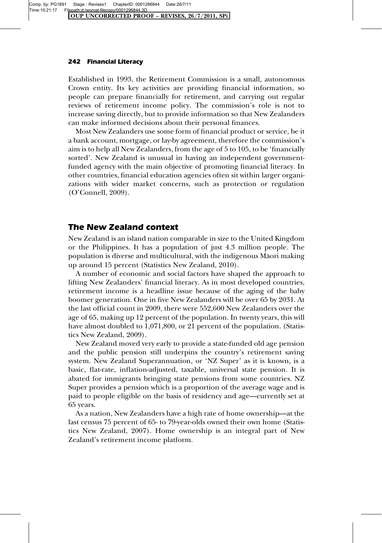Established in 1993, the Retirement Commission is a small, autonomous Crown entity. Its key activities are providing financial information, so people can prepare financially for retirement, and carrying out regular reviews of retirement income policy. The commission's role is not to increase saving directly, but to provide information so that New Zealanders can make informed decisions about their personal finances.

Most New Zealanders use some form of financial product or service, be it a bank account, mortgage, or lay-by agreement, therefore the commission's aim is to help all New Zealanders, from the age of 5 to 105, to be 'financially sorted'. New Zealand is unusual in having an independent governmentfunded agency with the main objective of promoting financial literacy. In other countries, financial education agencies often sit within larger organizations with wider market concerns, such as protection or regulation (O'Connell, 2009).

## The New Zealand context

New Zealand is an island nation comparable in size to the United Kingdom or the Philippines. It has a population of just 4.3 million people. The population is diverse and multicultural, with the indigenous Maori making up around 15 percent (Statistics New Zealand, 2010).

A number of economic and social factors have shaped the approach to lifting New Zealanders' financial literacy. As in most developed countries, retirement income is a headline issue because of the aging of the baby boomer generation. One in five New Zealanders will be over 65 by 2031. At the last official count in 2009, there were 552,600 New Zealanders over the age of 65, making up 12 percent of the population. In twenty years, this will have almost doubled to 1,071,800, or 21 percent of the population. (Statistics New Zealand, 2009).

New Zealand moved very early to provide a state-funded old age pension and the public pension still underpins the country's retirement saving system. New Zealand Superannuation, or 'NZ Super' as it is known, is a basic, flat-rate, inflation-adjusted, taxable, universal state pension. It is abated for immigrants bringing state pensions from some countries. NZ Super provides a pension which is a proportion of the average wage and is paid to people eligible on the basis of residency and age—currently set at 65 years.

As a nation, New Zealanders have a high rate of home ownership—at the last census 75 percent of 65- to 79-year-olds owned their own home (Statistics New Zealand, 2007). Home ownership is an integral part of New Zealand's retirement income platform.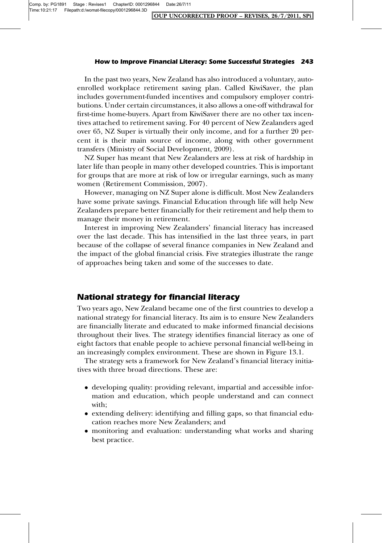In the past two years, New Zealand has also introduced a voluntary, autoenrolled workplace retirement saving plan. Called KiwiSaver, the plan includes government-funded incentives and compulsory employer contributions. Under certain circumstances, it also allows a one-off withdrawal for first-time home-buyers. Apart from KiwiSaver there are no other tax incentives attached to retirement saving. For 40 percent of New Zealanders aged over 65, NZ Super is virtually their only income, and for a further 20 percent it is their main source of income, along with other government transfers (Ministry of Social Development, 2009).

NZ Super has meant that New Zealanders are less at risk of hardship in later life than people in many other developed countries. This is important for groups that are more at risk of low or irregular earnings, such as many women (Retirement Commission, 2007).

However, managing on NZ Super alone is difficult. Most New Zealanders have some private savings. Financial Education through life will help New Zealanders prepare better financially for their retirement and help them to manage their money in retirement.

Interest in improving New Zealanders' financial literacy has increased over the last decade. This has intensified in the last three years, in part because of the collapse of several finance companies in New Zealand and the impact of the global financial crisis. Five strategies illustrate the range of approaches being taken and some of the successes to date.

# National strategy for financial literacy

Two years ago, New Zealand became one of the first countries to develop a national strategy for financial literacy. Its aim is to ensure New Zealanders are financially literate and educated to make informed financial decisions throughout their lives. The strategy identifies financial literacy as one of eight factors that enable people to achieve personal financial well-being in an increasingly complex environment. These are shown in Figure 13.1.

The strategy sets a framework for New Zealand's financial literacy initiatives with three broad directions. These are:

- developing quality: providing relevant, impartial and accessible information and education, which people understand and can connect with;
- extending delivery: identifying and filling gaps, so that financial education reaches more New Zealanders; and
- monitoring and evaluation: understanding what works and sharing best practice.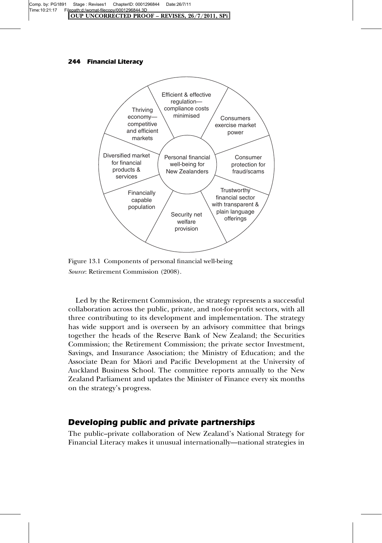

Figure 13.1 Components of personal financial well-being Source: Retirement Commission (2008).

Led by the Retirement Commission, the strategy represents a successful collaboration across the public, private, and not-for-profit sectors, with all three contributing to its development and implementation. The strategy has wide support and is overseen by an advisory committee that brings together the heads of the Reserve Bank of New Zealand; the Securities Commission; the Retirement Commission; the private sector Investment, Savings, and Insurance Association; the Ministry of Education; and the Associate Dean for Māori and Pacific Development at the University of Auckland Business School. The committee reports annually to the New Zealand Parliament and updates the Minister of Finance every six months on the strategy's progress.

# Developing public and private partnerships

The public–private collaboration of New Zealand's National Strategy for Financial Literacy makes it unusual internationally—national strategies in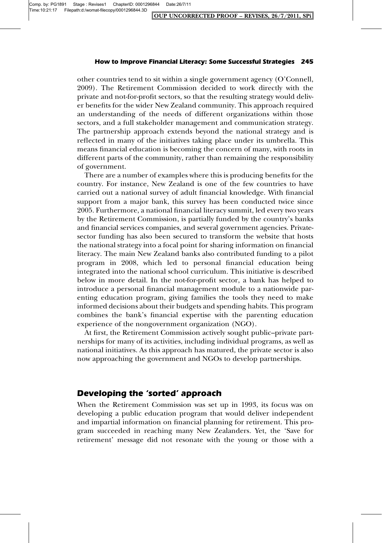other countries tend to sit within a single government agency (O'Connell, 2009). The Retirement Commission decided to work directly with the private and not-for-profit sectors, so that the resulting strategy would deliver benefits for the wider New Zealand community. This approach required an understanding of the needs of different organizations within those sectors, and a full stakeholder management and communication strategy. The partnership approach extends beyond the national strategy and is reflected in many of the initiatives taking place under its umbrella. This means financial education is becoming the concern of many, with roots in different parts of the community, rather than remaining the responsibility of government.

There are a number of examples where this is producing benefits for the country. For instance, New Zealand is one of the few countries to have carried out a national survey of adult financial knowledge. With financial support from a major bank, this survey has been conducted twice since 2005. Furthermore, a national financial literacy summit, led every two years by the Retirement Commission, is partially funded by the country's banks and financial services companies, and several government agencies. Privatesector funding has also been secured to transform the website that hosts the national strategy into a focal point for sharing information on financial literacy. The main New Zealand banks also contributed funding to a pilot program in 2008, which led to personal financial education being integrated into the national school curriculum. This initiative is described below in more detail. In the not-for-profit sector, a bank has helped to introduce a personal financial management module to a nationwide parenting education program, giving families the tools they need to make informed decisions about their budgets and spending habits. This program combines the bank's financial expertise with the parenting education experience of the nongovernment organization (NGO).

At first, the Retirement Commission actively sought public–private partnerships for many of its activities, including individual programs, as well as national initiatives. As this approach has matured, the private sector is also now approaching the government and NGOs to develop partnerships.

# Developing the 'sorted' approach

When the Retirement Commission was set up in 1993, its focus was on developing a public education program that would deliver independent and impartial information on financial planning for retirement. This program succeeded in reaching many New Zealanders. Yet, the 'Save for retirement' message did not resonate with the young or those with a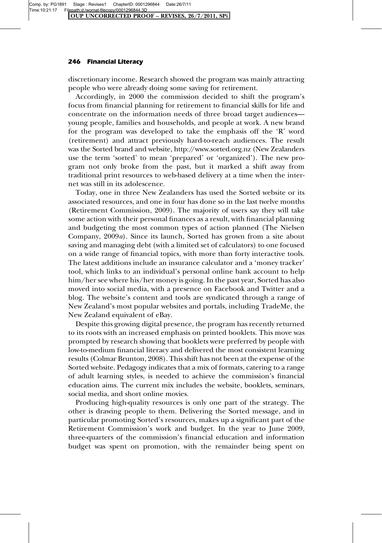discretionary income. Research showed the program was mainly attracting people who were already doing some saving for retirement.

Accordingly, in 2000 the commission decided to shift the program's focus from financial planning for retirement to financial skills for life and concentrate on the information needs of three broad target audiences young people, families and households, and people at work. A new brand for the program was developed to take the emphasis off the 'R' word (retirement) and attract previously hard-to-reach audiences. The result was the Sorted brand and website, http://www.sorted.org.nz (New Zealanders use the term 'sorted' to mean 'prepared' or 'organized'). The new program not only broke from the past, but it marked a shift away from traditional print resources to web-based delivery at a time when the internet was still in its adolescence.

Today, one in three New Zealanders has used the Sorted website or its associated resources, and one in four has done so in the last twelve months (Retirement Commission, 2009). The majority of users say they will take some action with their personal finances as a result, with financial planning and budgeting the most common types of action planned (The Nielsen Company, 2009a). Since its launch, Sorted has grown from a site about saving and managing debt (with a limited set of calculators) to one focused on a wide range of financial topics, with more than forty interactive tools. The latest additions include an insurance calculator and a 'money tracker' tool, which links to an individual's personal online bank account to help him/her see where his/her money is going. In the past year, Sorted has also moved into social media, with a presence on Facebook and Twitter and a blog. The website's content and tools are syndicated through a range of New Zealand's most popular websites and portals, including TradeMe, the New Zealand equivalent of eBay.

Despite this growing digital presence, the program has recently returned to its roots with an increased emphasis on printed booklets. This move was prompted by research showing that booklets were preferred by people with low-to-medium financial literacy and delivered the most consistent learning results (Colmar Brunton, 2008). This shift has not been at the expense of the Sorted website. Pedagogy indicates that a mix of formats, catering to a range of adult learning styles, is needed to achieve the commission's financial education aims. The current mix includes the website, booklets, seminars, social media, and short online movies.

Producing high-quality resources is only one part of the strategy. The other is drawing people to them. Delivering the Sorted message, and in particular promoting Sorted's resources, makes up a significant part of the Retirement Commission's work and budget. In the year to June 2009, three-quarters of the commission's financial education and information budget was spent on promotion, with the remainder being spent on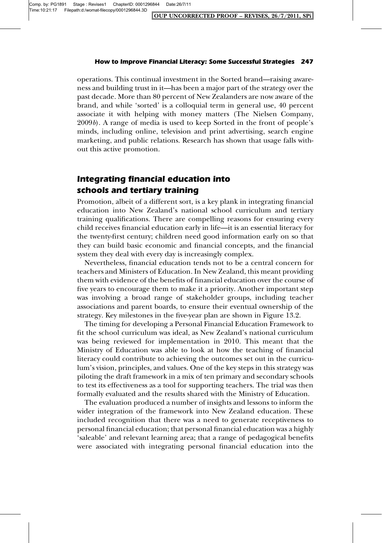operations. This continual investment in the Sorted brand—raising awareness and building trust in it—has been a major part of the strategy over the past decade. More than 80 percent of New Zealanders are now aware of the brand, and while 'sorted' is a colloquial term in general use, 40 percent associate it with helping with money matters (The Nielsen Company, 2009b). A range of media is used to keep Sorted in the front of people's minds, including online, television and print advertising, search engine marketing, and public relations. Research has shown that usage falls without this active promotion.

# Integrating financial education into schools and tertiary training

Promotion, albeit of a different sort, is a key plank in integrating financial education into New Zealand's national school curriculum and tertiary training qualifications. There are compelling reasons for ensuring every child receives financial education early in life—it is an essential literacy for the twenty-first century; children need good information early on so that they can build basic economic and financial concepts, and the financial system they deal with every day is increasingly complex.

Nevertheless, financial education tends not to be a central concern for teachers and Ministers of Education. In New Zealand, this meant providing them with evidence of the benefits of financial education over the course of five years to encourage them to make it a priority. Another important step was involving a broad range of stakeholder groups, including teacher associations and parent boards, to ensure their eventual ownership of the strategy. Key milestones in the five-year plan are shown in Figure 13.2.

The timing for developing a Personal Financial Education Framework to fit the school curriculum was ideal, as New Zealand's national curriculum was being reviewed for implementation in 2010. This meant that the Ministry of Education was able to look at how the teaching of financial literacy could contribute to achieving the outcomes set out in the curriculum's vision, principles, and values. One of the key steps in this strategy was piloting the draft framework in a mix of ten primary and secondary schools to test its effectiveness as a tool for supporting teachers. The trial was then formally evaluated and the results shared with the Ministry of Education.

The evaluation produced a number of insights and lessons to inform the wider integration of the framework into New Zealand education. These included recognition that there was a need to generate receptiveness to personal financial education; that personal financial education was a highly 'saleable' and relevant learning area; that a range of pedagogical benefits were associated with integrating personal financial education into the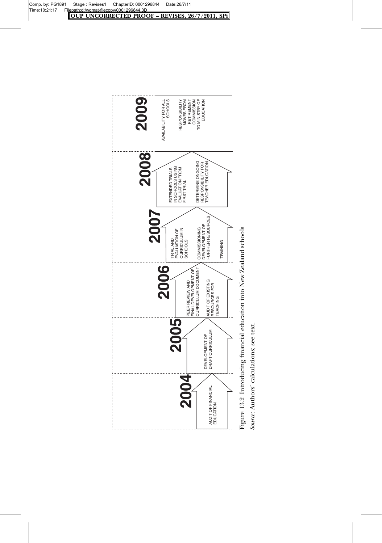



Source: Authors' calculations; see text. Source: Authors' calculations; see text.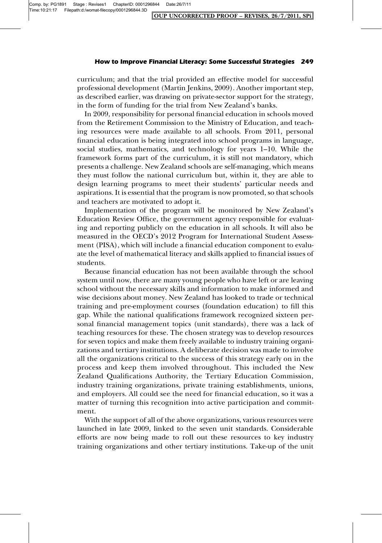curriculum; and that the trial provided an effective model for successful professional development (Martin Jenkins, 2009). Another important step, as described earlier, was drawing on private-sector support for the strategy, in the form of funding for the trial from New Zealand's banks.

In 2009, responsibility for personal financial education in schools moved from the Retirement Commission to the Ministry of Education, and teaching resources were made available to all schools. From 2011, personal financial education is being integrated into school programs in language, social studies, mathematics, and technology for years 1–10. While the framework forms part of the curriculum, it is still not mandatory, which presents a challenge. New Zealand schools are self-managing, which means they must follow the national curriculum but, within it, they are able to design learning programs to meet their students' particular needs and aspirations. It is essential that the program is now promoted, so that schools and teachers are motivated to adopt it.

Implementation of the program will be monitored by New Zealand's Education Review Office, the government agency responsible for evaluating and reporting publicly on the education in all schools. It will also be measured in the OECD's 2012 Program for International Student Assessment (PISA), which will include a financial education component to evaluate the level of mathematical literacy and skills applied to financial issues of students.

Because financial education has not been available through the school system until now, there are many young people who have left or are leaving school without the necessary skills and information to make informed and wise decisions about money. New Zealand has looked to trade or technical training and pre-employment courses (foundation education) to fill this gap. While the national qualifications framework recognized sixteen personal financial management topics (unit standards), there was a lack of teaching resources for these. The chosen strategy was to develop resources for seven topics and make them freely available to industry training organizations and tertiary institutions. A deliberate decision was made to involve all the organizations critical to the success of this strategy early on in the process and keep them involved throughout. This included the New Zealand Qualifications Authority, the Tertiary Education Commission, industry training organizations, private training establishments, unions, and employers. All could see the need for financial education, so it was a matter of turning this recognition into active participation and commitment.

With the support of all of the above organizations, various resources were launched in late 2009, linked to the seven unit standards. Considerable efforts are now being made to roll out these resources to key industry training organizations and other tertiary institutions. Take-up of the unit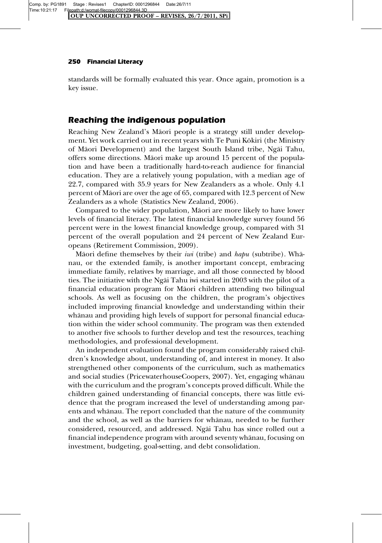standards will be formally evaluated this year. Once again, promotion is a key issue.

## Reaching the indigenous population

Reaching New Zealand's Maori people is a strategy still under development. Yet work carried out in recent years with Te Puni Kōkiri (the Ministry of Māori Development) and the largest South Island tribe, Ngai Tahu, offers some directions. Ma¯ori make up around 15 percent of the population and have been a traditionally hard-to-reach audience for financial education. They are a relatively young population, with a median age of 22.7, compared with 35.9 years for New Zealanders as a whole. Only 4.1 percent of Māori are over the age of 65, compared with 12.3 percent of New Zealanders as a whole (Statistics New Zealand, 2006).

Compared to the wider population, Māori are more likely to have lower levels of financial literacy. The latest financial knowledge survey found 56 percent were in the lowest financial knowledge group, compared with 31 percent of the overall population and 24 percent of New Zealand Europeans (Retirement Commission, 2009).

Māori define themselves by their *iwi* (tribe) and *hapu* (subtribe). Whānau, or the extended family, is another important concept, embracing immediate family, relatives by marriage, and all those connected by blood ties. The initiative with the Ngāi Tahu iwi started in 2003 with the pilot of a financial education program for Māori children attending two bilingual schools. As well as focusing on the children, the program's objectives included improving financial knowledge and understanding within their whānau and providing high levels of support for personal financial education within the wider school community. The program was then extended to another five schools to further develop and test the resources, teaching methodologies, and professional development.

An independent evaluation found the program considerably raised children's knowledge about, understanding of, and interest in money. It also strengthened other components of the curriculum, such as mathematics and social studies (PricewaterhouseCoopers, 2007). Yet, engaging whānau with the curriculum and the program's concepts proved difficult. While the children gained understanding of financial concepts, there was little evidence that the program increased the level of understanding among parents and whānau. The report concluded that the nature of the community and the school, as well as the barriers for whanau, needed to be further considered, resourced, and addressed. Ngai Tahu has since rolled out a financial independence program with around seventy whanau, focusing on investment, budgeting, goal-setting, and debt consolidation.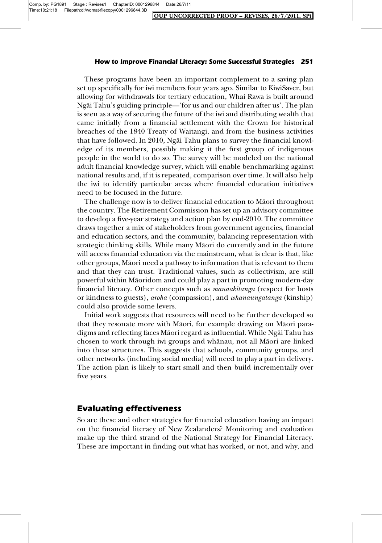These programs have been an important complement to a saving plan set up specifically for iwi members four years ago. Similar to KiwiSaver, but allowing for withdrawals for tertiary education, Whai Rawa is built around Ngāi Tahu's guiding principle—'for us and our children after us'. The plan is seen as a way of securing the future of the iwi and distributing wealth that came initially from a financial settlement with the Crown for historical breaches of the 1840 Treaty of Waitangi, and from the business activities that have followed. In 2010, Ngai Tahu plans to survey the financial knowledge of its members, possibly making it the first group of indigenous people in the world to do so. The survey will be modeled on the national adult financial knowledge survey, which will enable benchmarking against national results and, if it is repeated, comparison over time. It will also help the iwi to identify particular areas where financial education initiatives need to be focused in the future.

The challenge now is to deliver financial education to Maori throughout the country. The Retirement Commission has set up an advisory committee to develop a five-year strategy and action plan by end-2010. The committee draws together a mix of stakeholders from government agencies, financial and education sectors, and the community, balancing representation with strategic thinking skills. While many Maori do currently and in the future will access financial education via the mainstream, what is clear is that, like other groups, Māori need a pathway to information that is relevant to them and that they can trust. Traditional values, such as collectivism, are still powerful within Māoridom and could play a part in promoting modern-day financial literacy. Other concepts such as manaakitanga (respect for hosts or kindness to guests), aroha (compassion), and whanaungatanga (kinship) could also provide some levers.

Initial work suggests that resources will need to be further developed so that they resonate more with Māori, for example drawing on Māori paradigms and reflecting faces Māori regard as influential. While Ngāi Tahu has chosen to work through iwi groups and whanau, not all Maori are linked into these structures. This suggests that schools, community groups, and other networks (including social media) will need to play a part in delivery. The action plan is likely to start small and then build incrementally over five years.

## Evaluating effectiveness

So are these and other strategies for financial education having an impact on the financial literacy of New Zealanders? Monitoring and evaluation make up the third strand of the National Strategy for Financial Literacy. These are important in finding out what has worked, or not, and why, and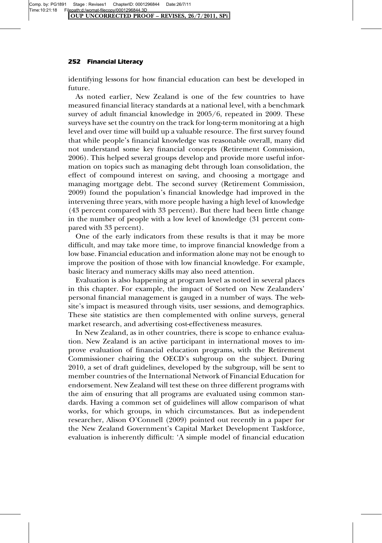identifying lessons for how financial education can best be developed in future.

As noted earlier, New Zealand is one of the few countries to have measured financial literacy standards at a national level, with a benchmark survey of adult financial knowledge in 2005/6, repeated in 2009. These surveys have set the country on the track for long-term monitoring at a high level and over time will build up a valuable resource. The first survey found that while people's financial knowledge was reasonable overall, many did not understand some key financial concepts (Retirement Commission, 2006). This helped several groups develop and provide more useful information on topics such as managing debt through loan consolidation, the effect of compound interest on saving, and choosing a mortgage and managing mortgage debt. The second survey (Retirement Commission, 2009) found the population's financial knowledge had improved in the intervening three years, with more people having a high level of knowledge (43 percent compared with 33 percent). But there had been little change in the number of people with a low level of knowledge (31 percent compared with 33 percent).

One of the early indicators from these results is that it may be more difficult, and may take more time, to improve financial knowledge from a low base. Financial education and information alone may not be enough to improve the position of those with low financial knowledge. For example, basic literacy and numeracy skills may also need attention.

Evaluation is also happening at program level as noted in several places in this chapter. For example, the impact of Sorted on New Zealanders' personal financial management is gauged in a number of ways. The website's impact is measured through visits, user sessions, and demographics. These site statistics are then complemented with online surveys, general market research, and advertising cost-effectiveness measures.

In New Zealand, as in other countries, there is scope to enhance evaluation. New Zealand is an active participant in international moves to improve evaluation of financial education programs, with the Retirement Commissioner chairing the OECD's subgroup on the subject. During 2010, a set of draft guidelines, developed by the subgroup, will be sent to member countries of the International Network of Financial Education for endorsement. New Zealand will test these on three different programs with the aim of ensuring that all programs are evaluated using common standards. Having a common set of guidelines will allow comparison of what works, for which groups, in which circumstances. But as independent researcher, Alison O'Connell (2009) pointed out recently in a paper for the New Zealand Government's Capital Market Development Taskforce, evaluation is inherently difficult: 'A simple model of financial education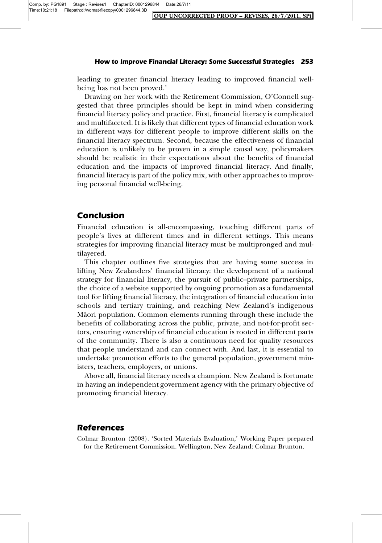leading to greater financial literacy leading to improved financial wellbeing has not been proved.'

Drawing on her work with the Retirement Commission, O'Connell suggested that three principles should be kept in mind when considering financial literacy policy and practice. First, financial literacy is complicated and multifaceted. It is likely that different types of financial education work in different ways for different people to improve different skills on the financial literacy spectrum. Second, because the effectiveness of financial education is unlikely to be proven in a simple causal way, policymakers should be realistic in their expectations about the benefits of financial education and the impacts of improved financial literacy. And finally, financial literacy is part of the policy mix, with other approaches to improving personal financial well-being.

## Conclusion

Financial education is all-encompassing, touching different parts of people's lives at different times and in different settings. This means strategies for improving financial literacy must be multipronged and multilayered.

This chapter outlines five strategies that are having some success in lifting New Zealanders' financial literacy: the development of a national strategy for financial literacy, the pursuit of public–private partnerships, the choice of a website supported by ongoing promotion as a fundamental tool for lifting financial literacy, the integration of financial education into schools and tertiary training, and reaching New Zealand's indigenous Maori population. Common elements running through these include the benefits of collaborating across the public, private, and not-for-profit sectors, ensuring ownership of financial education is rooted in different parts of the community. There is also a continuous need for quality resources that people understand and can connect with. And last, it is essential to undertake promotion efforts to the general population, government ministers, teachers, employers, or unions.

Above all, financial literacy needs a champion. New Zealand is fortunate in having an independent government agency with the primary objective of promoting financial literacy.

## References

Colmar Brunton (2008). 'Sorted Materials Evaluation,' Working Paper prepared for the Retirement Commission. Wellington, New Zealand: Colmar Brunton.